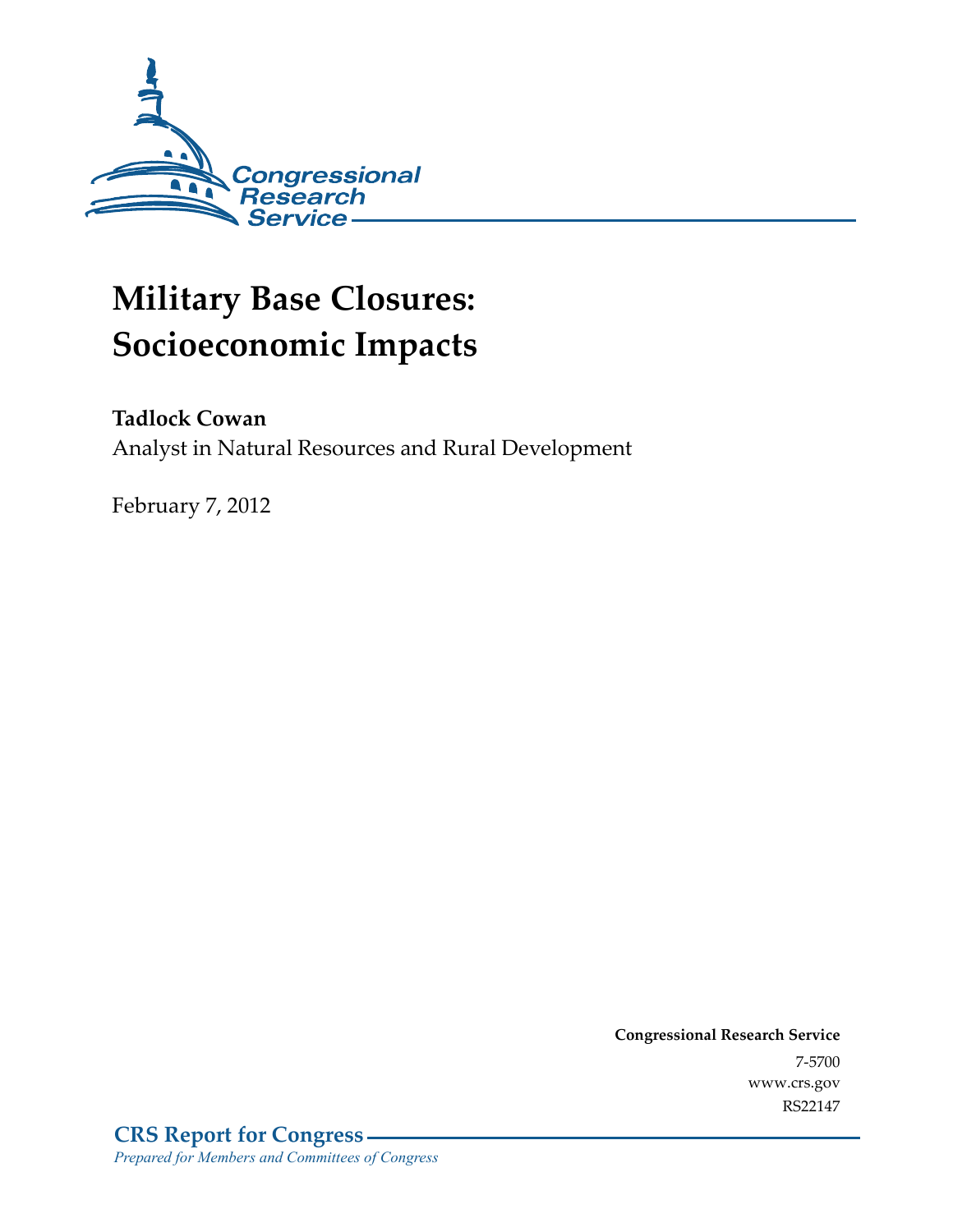

# **Military Base Closures: Socioeconomic Impacts**

#### **Tadlock Cowan**

Analyst in Natural Resources and Rural Development

February 7, 2012

**Congressional Research Service**  7-5700 www.crs.gov RS22147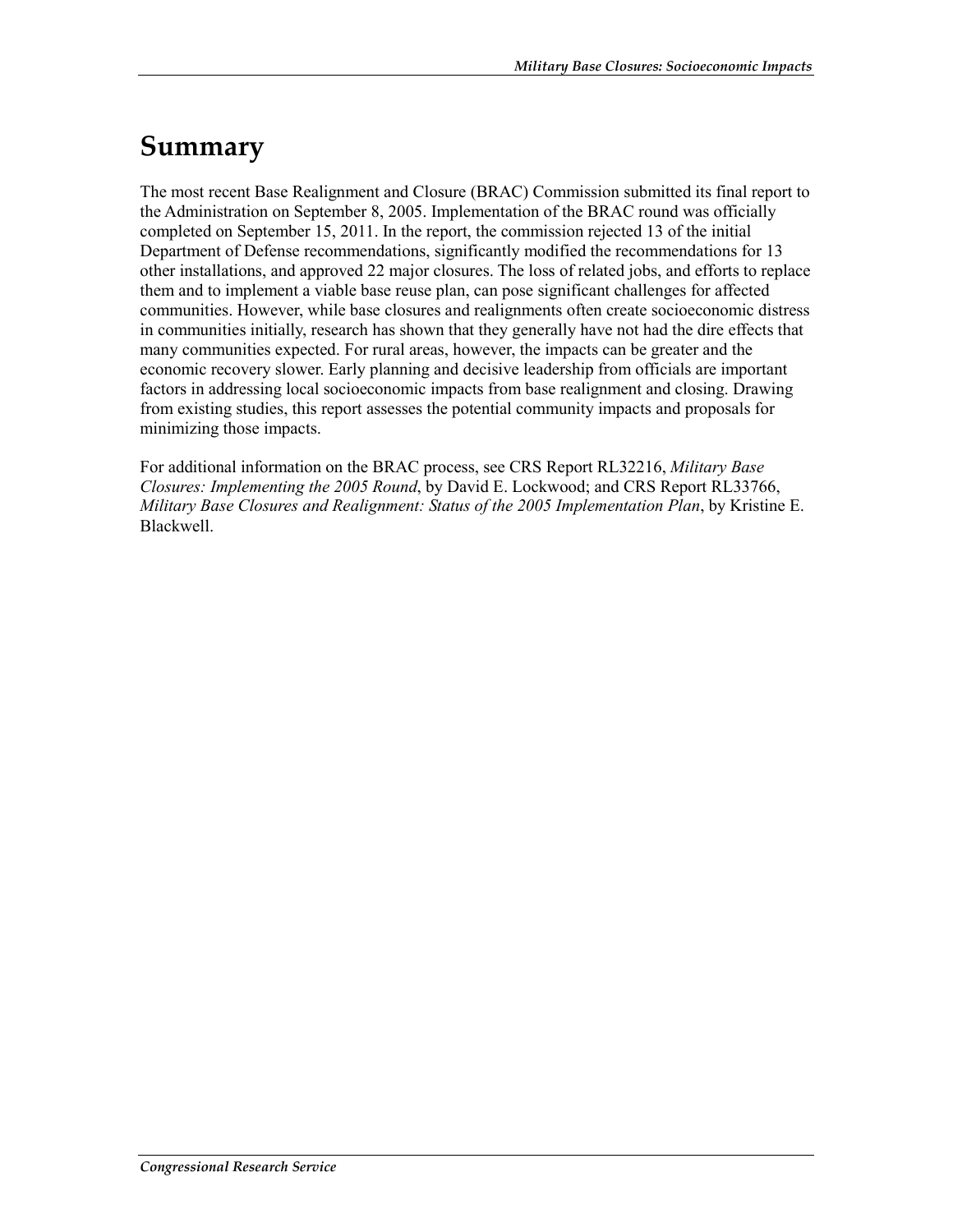### **Summary**

The most recent Base Realignment and Closure (BRAC) Commission submitted its final report to the Administration on September 8, 2005. Implementation of the BRAC round was officially completed on September 15, 2011. In the report, the commission rejected 13 of the initial Department of Defense recommendations, significantly modified the recommendations for 13 other installations, and approved 22 major closures. The loss of related jobs, and efforts to replace them and to implement a viable base reuse plan, can pose significant challenges for affected communities. However, while base closures and realignments often create socioeconomic distress in communities initially, research has shown that they generally have not had the dire effects that many communities expected. For rural areas, however, the impacts can be greater and the economic recovery slower. Early planning and decisive leadership from officials are important factors in addressing local socioeconomic impacts from base realignment and closing. Drawing from existing studies, this report assesses the potential community impacts and proposals for minimizing those impacts.

For additional information on the BRAC process, see CRS Report RL32216, *Military Base Closures: Implementing the 2005 Round*, by David E. Lockwood; and CRS Report RL33766, *Military Base Closures and Realignment: Status of the 2005 Implementation Plan*, by Kristine E. Blackwell.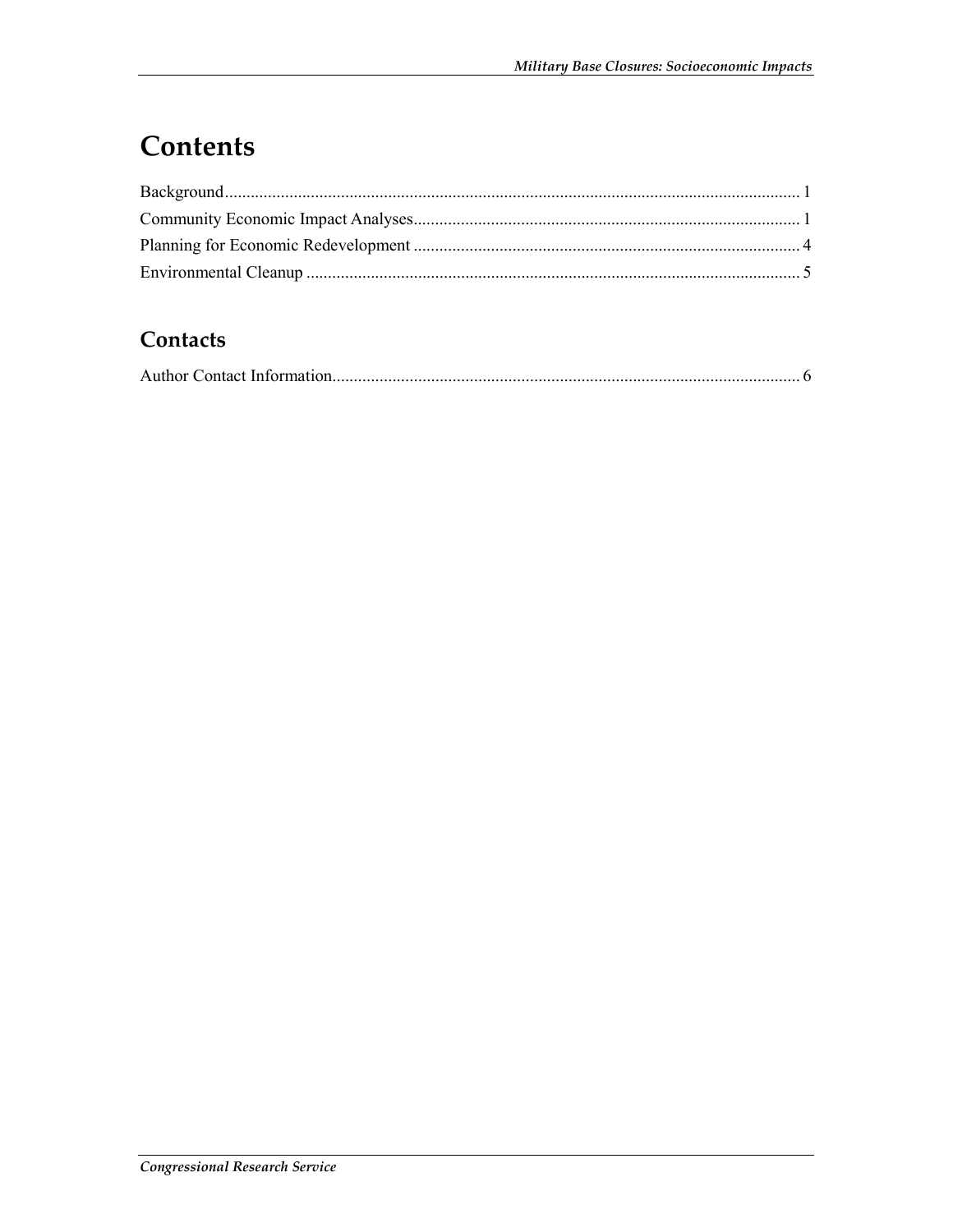# Contents

#### Contacts

|--|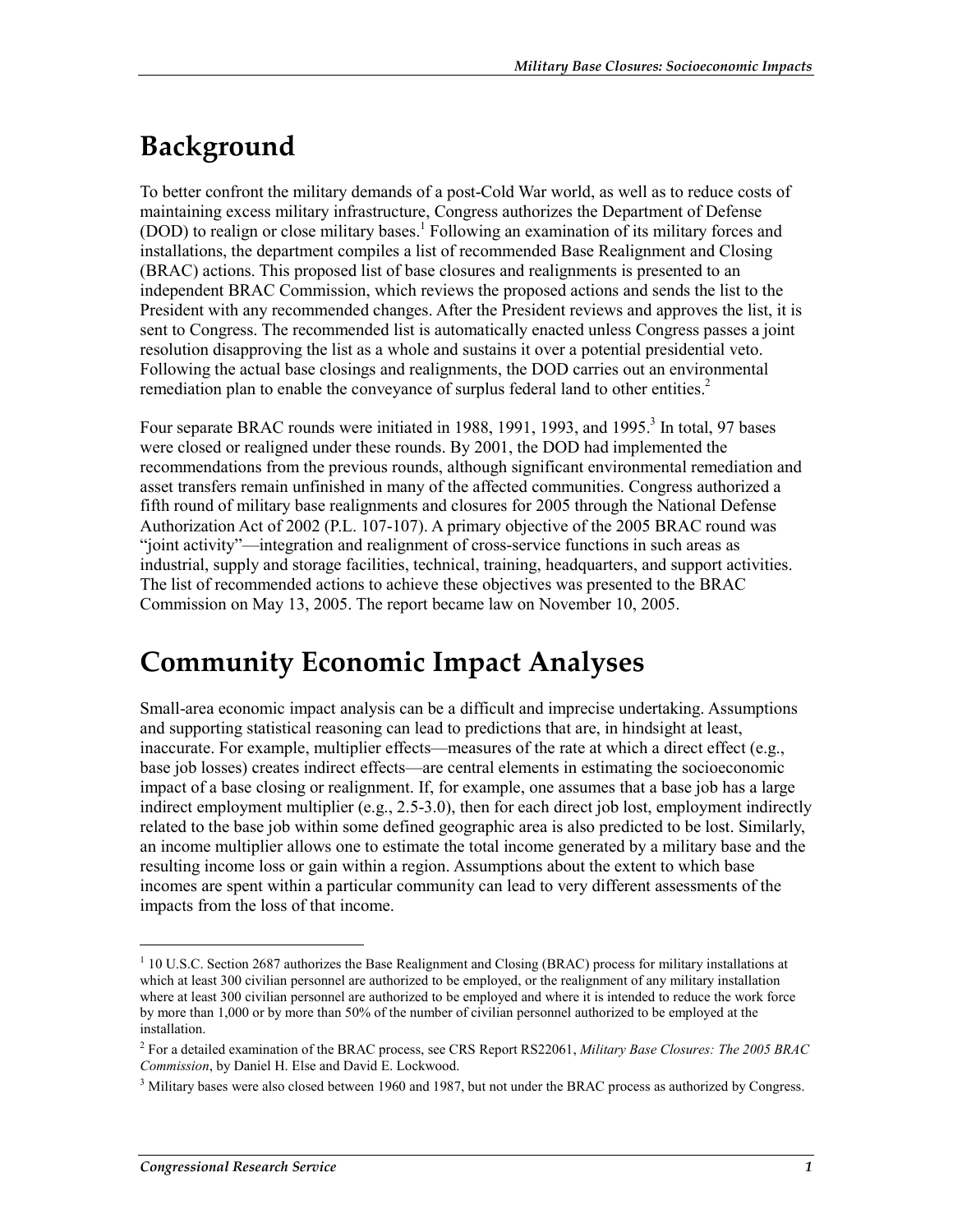# **Background**

To better confront the military demands of a post-Cold War world, as well as to reduce costs of maintaining excess military infrastructure, Congress authorizes the Department of Defense (DOD) to realign or close military bases.<sup>1</sup> Following an examination of its military forces and installations, the department compiles a list of recommended Base Realignment and Closing (BRAC) actions. This proposed list of base closures and realignments is presented to an independent BRAC Commission, which reviews the proposed actions and sends the list to the President with any recommended changes. After the President reviews and approves the list, it is sent to Congress. The recommended list is automatically enacted unless Congress passes a joint resolution disapproving the list as a whole and sustains it over a potential presidential veto. Following the actual base closings and realignments, the DOD carries out an environmental remediation plan to enable the conveyance of surplus federal land to other entities.<sup>2</sup>

Four separate BRAC rounds were initiated in 1988, 1991, 1993, and 1995.<sup>3</sup> In total, 97 bases were closed or realigned under these rounds. By 2001, the DOD had implemented the recommendations from the previous rounds, although significant environmental remediation and asset transfers remain unfinished in many of the affected communities. Congress authorized a fifth round of military base realignments and closures for 2005 through the National Defense Authorization Act of 2002 (P.L. 107-107). A primary objective of the 2005 BRAC round was "joint activity"—integration and realignment of cross-service functions in such areas as industrial, supply and storage facilities, technical, training, headquarters, and support activities. The list of recommended actions to achieve these objectives was presented to the BRAC Commission on May 13, 2005. The report became law on November 10, 2005.

### **Community Economic Impact Analyses**

Small-area economic impact analysis can be a difficult and imprecise undertaking. Assumptions and supporting statistical reasoning can lead to predictions that are, in hindsight at least, inaccurate. For example, multiplier effects—measures of the rate at which a direct effect (e.g., base job losses) creates indirect effects—are central elements in estimating the socioeconomic impact of a base closing or realignment. If, for example, one assumes that a base job has a large indirect employment multiplier (e.g., 2.5-3.0), then for each direct job lost, employment indirectly related to the base job within some defined geographic area is also predicted to be lost. Similarly, an income multiplier allows one to estimate the total income generated by a military base and the resulting income loss or gain within a region. Assumptions about the extent to which base incomes are spent within a particular community can lead to very different assessments of the impacts from the loss of that income.

<sup>&</sup>lt;sup>1</sup> 10 U.S.C. Section 2687 authorizes the Base Realignment and Closing (BRAC) process for military installations at which at least 300 civilian personnel are authorized to be employed, or the realignment of any military installation where at least 300 civilian personnel are authorized to be employed and where it is intended to reduce the work force by more than 1,000 or by more than 50% of the number of civilian personnel authorized to be employed at the installation.

<sup>2</sup> For a detailed examination of the BRAC process, see CRS Report RS22061, *Military Base Closures: The 2005 BRAC Commission*, by Daniel H. Else and David E. Lockwood.

<sup>&</sup>lt;sup>3</sup> Military bases were also closed between 1960 and 1987, but not under the BRAC process as authorized by Congress.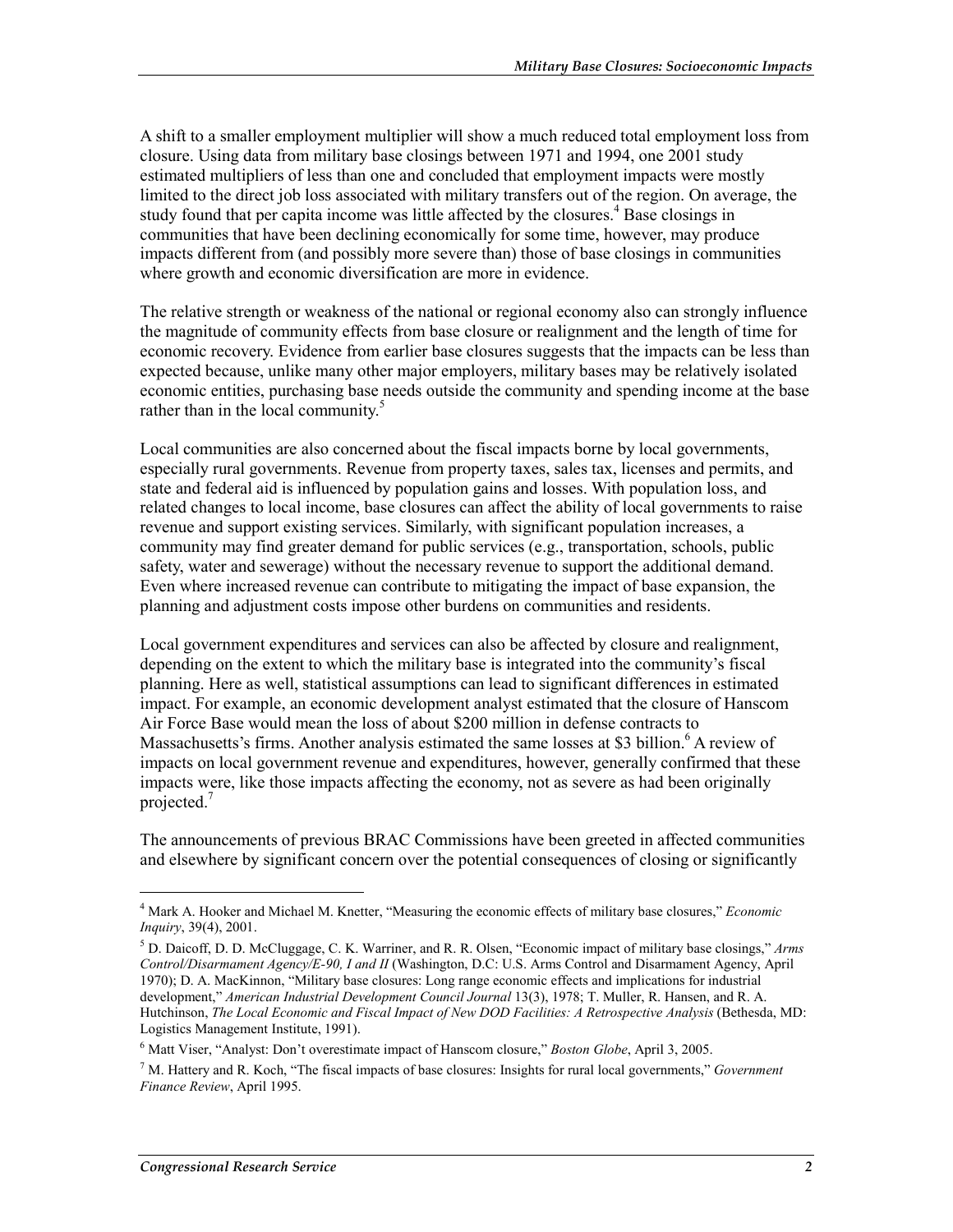A shift to a smaller employment multiplier will show a much reduced total employment loss from closure. Using data from military base closings between 1971 and 1994, one 2001 study estimated multipliers of less than one and concluded that employment impacts were mostly limited to the direct job loss associated with military transfers out of the region. On average, the study found that per capita income was little affected by the closures.<sup>4</sup> Base closings in communities that have been declining economically for some time, however, may produce impacts different from (and possibly more severe than) those of base closings in communities where growth and economic diversification are more in evidence.

The relative strength or weakness of the national or regional economy also can strongly influence the magnitude of community effects from base closure or realignment and the length of time for economic recovery. Evidence from earlier base closures suggests that the impacts can be less than expected because, unlike many other major employers, military bases may be relatively isolated economic entities, purchasing base needs outside the community and spending income at the base rather than in the local community.<sup>5</sup>

Local communities are also concerned about the fiscal impacts borne by local governments, especially rural governments. Revenue from property taxes, sales tax, licenses and permits, and state and federal aid is influenced by population gains and losses. With population loss, and related changes to local income, base closures can affect the ability of local governments to raise revenue and support existing services. Similarly, with significant population increases, a community may find greater demand for public services (e.g., transportation, schools, public safety, water and sewerage) without the necessary revenue to support the additional demand. Even where increased revenue can contribute to mitigating the impact of base expansion, the planning and adjustment costs impose other burdens on communities and residents.

Local government expenditures and services can also be affected by closure and realignment, depending on the extent to which the military base is integrated into the community's fiscal planning. Here as well, statistical assumptions can lead to significant differences in estimated impact. For example, an economic development analyst estimated that the closure of Hanscom Air Force Base would mean the loss of about \$200 million in defense contracts to Massachusetts's firms. Another analysis estimated the same losses at \$3 billion.<sup>6</sup> A review of impacts on local government revenue and expenditures, however, generally confirmed that these impacts were, like those impacts affecting the economy, not as severe as had been originally projected.<sup>7</sup>

The announcements of previous BRAC Commissions have been greeted in affected communities and elsewhere by significant concern over the potential consequences of closing or significantly

 $\overline{a}$ 

<sup>4</sup> Mark A. Hooker and Michael M. Knetter, "Measuring the economic effects of military base closures," *Economic Inquiry*, 39(4), 2001.

<sup>5</sup> D. Daicoff, D. D. McCluggage, C. K. Warriner, and R. R. Olsen, "Economic impact of military base closings," *Arms Control/Disarmament Agency/E-90, I and II* (Washington, D.C: U.S. Arms Control and Disarmament Agency, April 1970); D. A. MacKinnon, "Military base closures: Long range economic effects and implications for industrial development," *American Industrial Development Council Journal* 13(3), 1978; T. Muller, R. Hansen, and R. A. Hutchinson, *The Local Economic and Fiscal Impact of New DOD Facilities: A Retrospective Analysis* (Bethesda, MD: Logistics Management Institute, 1991).

<sup>6</sup> Matt Viser, "Analyst: Don't overestimate impact of Hanscom closure," *Boston Globe*, April 3, 2005.

<sup>7</sup> M. Hattery and R. Koch, "The fiscal impacts of base closures: Insights for rural local governments," *Government Finance Review*, April 1995.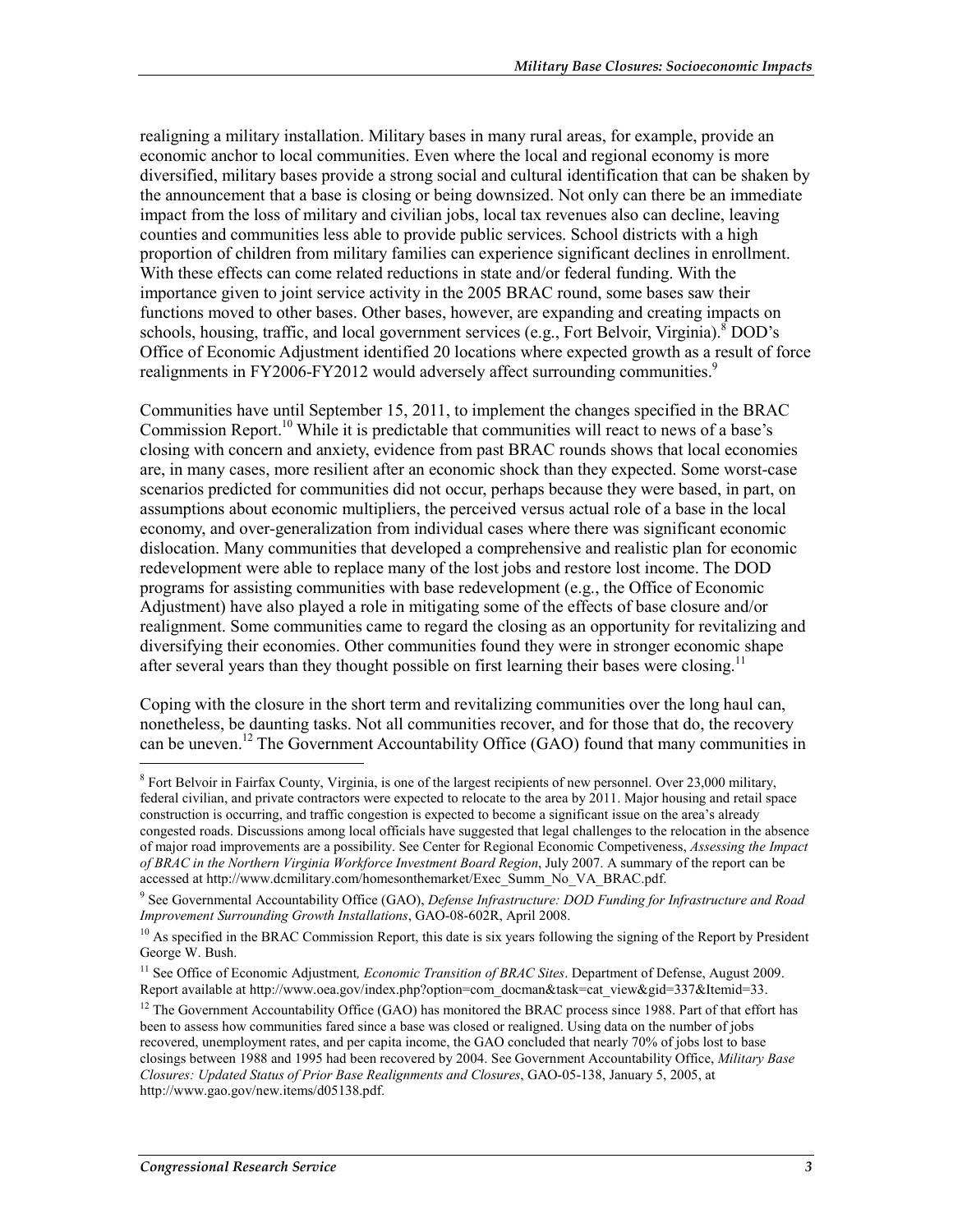realigning a military installation. Military bases in many rural areas, for example, provide an economic anchor to local communities. Even where the local and regional economy is more diversified, military bases provide a strong social and cultural identification that can be shaken by the announcement that a base is closing or being downsized. Not only can there be an immediate impact from the loss of military and civilian jobs, local tax revenues also can decline, leaving counties and communities less able to provide public services. School districts with a high proportion of children from military families can experience significant declines in enrollment. With these effects can come related reductions in state and/or federal funding. With the importance given to joint service activity in the 2005 BRAC round, some bases saw their functions moved to other bases. Other bases, however, are expanding and creating impacts on schools, housing, traffic, and local government services (e.g., Fort Belvoir, Virginia).<sup>8</sup> DOD's Office of Economic Adjustment identified 20 locations where expected growth as a result of force realignments in FY2006-FY2012 would adversely affect surrounding communities.<sup>9</sup>

Communities have until September 15, 2011, to implement the changes specified in the BRAC Commission Report.<sup>10</sup> While it is predictable that communities will react to news of a base's closing with concern and anxiety, evidence from past BRAC rounds shows that local economies are, in many cases, more resilient after an economic shock than they expected. Some worst-case scenarios predicted for communities did not occur, perhaps because they were based, in part, on assumptions about economic multipliers, the perceived versus actual role of a base in the local economy, and over-generalization from individual cases where there was significant economic dislocation. Many communities that developed a comprehensive and realistic plan for economic redevelopment were able to replace many of the lost jobs and restore lost income. The DOD programs for assisting communities with base redevelopment (e.g., the Office of Economic Adjustment) have also played a role in mitigating some of the effects of base closure and/or realignment. Some communities came to regard the closing as an opportunity for revitalizing and diversifying their economies. Other communities found they were in stronger economic shape after several years than they thought possible on first learning their bases were closing.<sup>11</sup>

Coping with the closure in the short term and revitalizing communities over the long haul can, nonetheless, be daunting tasks. Not all communities recover, and for those that do, the recovery can be uneven.<sup>12</sup> The Government Accountability Office (GAO) found that many communities in

<sup>&</sup>lt;sup>8</sup> Fort Belvoir in Fairfax County, Virginia, is one of the largest recipients of new personnel. Over 23,000 military, federal civilian, and private contractors were expected to relocate to the area by 2011. Major housing and retail space construction is occurring, and traffic congestion is expected to become a significant issue on the area's already congested roads. Discussions among local officials have suggested that legal challenges to the relocation in the absence of major road improvements are a possibility. See Center for Regional Economic Competiveness, *Assessing the Impact of BRAC in the Northern Virginia Workforce Investment Board Region*, July 2007. A summary of the report can be accessed at http://www.dcmilitary.com/homesonthemarket/Exec\_Summ\_No\_VA\_BRAC.pdf.

<sup>9</sup> See Governmental Accountability Office (GAO), *Defense Infrastructure: DOD Funding for Infrastructure and Road Improvement Surrounding Growth Installations*, GAO-08-602R, April 2008.

 $10$  As specified in the BRAC Commission Report, this date is six years following the signing of the Report by President George W. Bush.

<sup>&</sup>lt;sup>11</sup> See Office of Economic Adjustment, *Economic Transition of BRAC Sites*. Department of Defense, August 2009. Report available at http://www.oea.gov/index.php?option=com\_docman&task=cat\_view&gid=337&Itemid=33.

 $12$  The Government Accountability Office (GAO) has monitored the BRAC process since 1988. Part of that effort has been to assess how communities fared since a base was closed or realigned. Using data on the number of jobs recovered, unemployment rates, and per capita income, the GAO concluded that nearly 70% of jobs lost to base closings between 1988 and 1995 had been recovered by 2004. See Government Accountability Office, *Military Base Closures: Updated Status of Prior Base Realignments and Closures*, GAO-05-138, January 5, 2005, at http://www.gao.gov/new.items/d05138.pdf.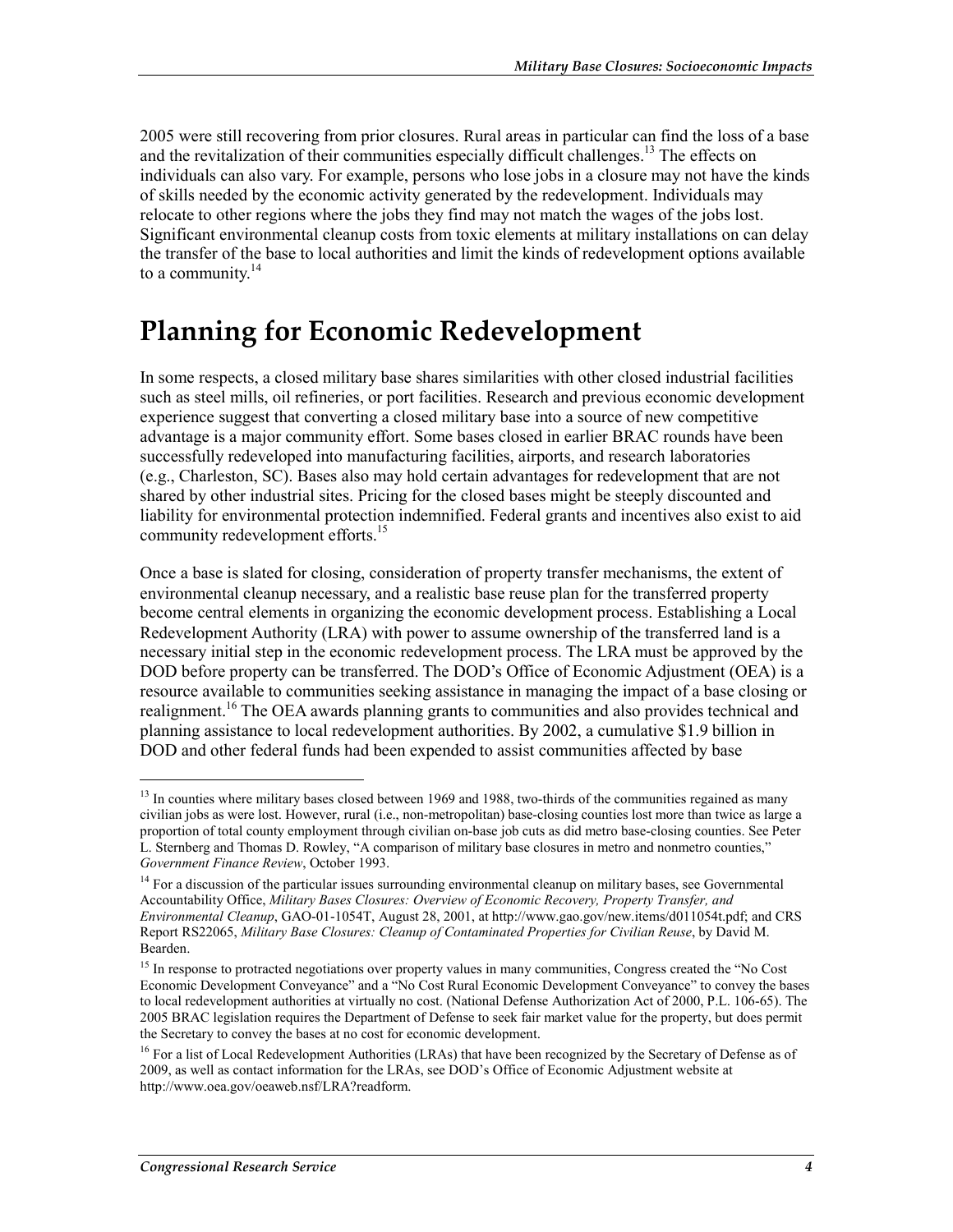2005 were still recovering from prior closures. Rural areas in particular can find the loss of a base and the revitalization of their communities especially difficult challenges.<sup>13</sup> The effects on individuals can also vary. For example, persons who lose jobs in a closure may not have the kinds of skills needed by the economic activity generated by the redevelopment. Individuals may relocate to other regions where the jobs they find may not match the wages of the jobs lost. Significant environmental cleanup costs from toxic elements at military installations on can delay the transfer of the base to local authorities and limit the kinds of redevelopment options available to a community. $14$ 

### **Planning for Economic Redevelopment**

In some respects, a closed military base shares similarities with other closed industrial facilities such as steel mills, oil refineries, or port facilities. Research and previous economic development experience suggest that converting a closed military base into a source of new competitive advantage is a major community effort. Some bases closed in earlier BRAC rounds have been successfully redeveloped into manufacturing facilities, airports, and research laboratories (e.g., Charleston, SC). Bases also may hold certain advantages for redevelopment that are not shared by other industrial sites. Pricing for the closed bases might be steeply discounted and liability for environmental protection indemnified. Federal grants and incentives also exist to aid community redevelopment efforts.<sup>15</sup>

Once a base is slated for closing, consideration of property transfer mechanisms, the extent of environmental cleanup necessary, and a realistic base reuse plan for the transferred property become central elements in organizing the economic development process. Establishing a Local Redevelopment Authority (LRA) with power to assume ownership of the transferred land is a necessary initial step in the economic redevelopment process. The LRA must be approved by the DOD before property can be transferred. The DOD's Office of Economic Adjustment (OEA) is a resource available to communities seeking assistance in managing the impact of a base closing or realignment.<sup>16</sup> The OEA awards planning grants to communities and also provides technical and planning assistance to local redevelopment authorities. By 2002, a cumulative \$1.9 billion in DOD and other federal funds had been expended to assist communities affected by base

<sup>&</sup>lt;sup>13</sup> In counties where military bases closed between 1969 and 1988, two-thirds of the communities regained as many civilian jobs as were lost. However, rural (i.e., non-metropolitan) base-closing counties lost more than twice as large a proportion of total county employment through civilian on-base job cuts as did metro base-closing counties. See Peter L. Sternberg and Thomas D. Rowley, "A comparison of military base closures in metro and nonmetro counties," *Government Finance Review*, October 1993.

<sup>&</sup>lt;sup>14</sup> For a discussion of the particular issues surrounding environmental cleanup on military bases, see Governmental Accountability Office, *Military Bases Closures: Overview of Economic Recovery, Property Transfer, and Environmental Cleanup*, GAO-01-1054T, August 28, 2001, at http://www.gao.gov/new.items/d011054t.pdf; and CRS Report RS22065, *Military Base Closures: Cleanup of Contaminated Properties for Civilian Reuse*, by David M. Bearden.

<sup>&</sup>lt;sup>15</sup> In response to protracted negotiations over property values in many communities, Congress created the "No Cost Economic Development Conveyance" and a "No Cost Rural Economic Development Conveyance" to convey the bases to local redevelopment authorities at virtually no cost. (National Defense Authorization Act of 2000, P.L. 106-65). The 2005 BRAC legislation requires the Department of Defense to seek fair market value for the property, but does permit the Secretary to convey the bases at no cost for economic development.

<sup>&</sup>lt;sup>16</sup> For a list of Local Redevelopment Authorities (LRAs) that have been recognized by the Secretary of Defense as of 2009, as well as contact information for the LRAs, see DOD's Office of Economic Adjustment website at http://www.oea.gov/oeaweb.nsf/LRA?readform.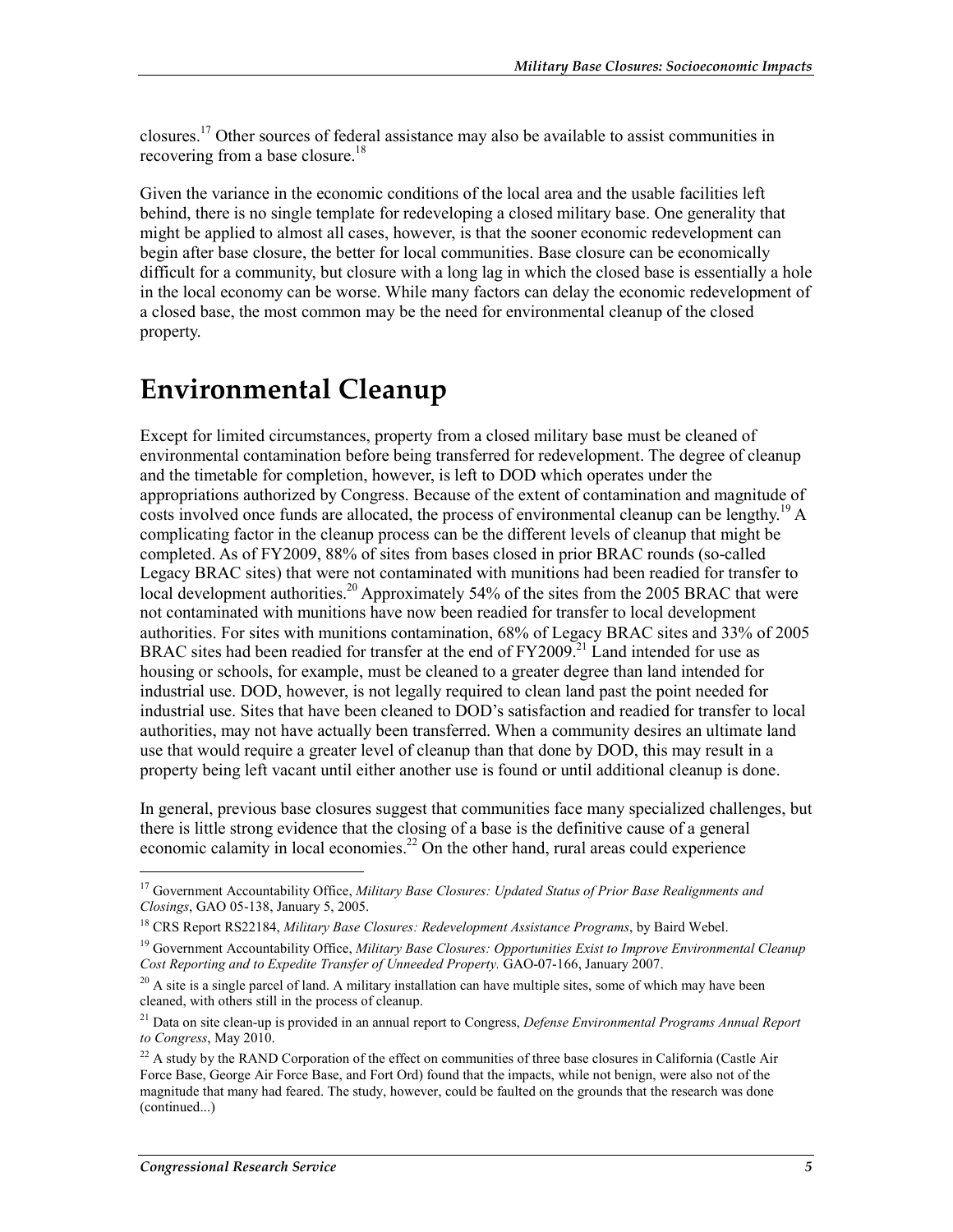closures.<sup>17</sup> Other sources of federal assistance may also be available to assist communities in recovering from a base closure.<sup>18</sup>

Given the variance in the economic conditions of the local area and the usable facilities left behind, there is no single template for redeveloping a closed military base. One generality that might be applied to almost all cases, however, is that the sooner economic redevelopment can begin after base closure, the better for local communities. Base closure can be economically difficult for a community, but closure with a long lag in which the closed base is essentially a hole in the local economy can be worse. While many factors can delay the economic redevelopment of a closed base, the most common may be the need for environmental cleanup of the closed property.

#### **Environmental Cleanup**

Except for limited circumstances, property from a closed military base must be cleaned of environmental contamination before being transferred for redevelopment. The degree of cleanup and the timetable for completion, however, is left to DOD which operates under the appropriations authorized by Congress. Because of the extent of contamination and magnitude of costs involved once funds are allocated, the process of environmental cleanup can be lengthy.<sup>19</sup> A complicating factor in the cleanup process can be the different levels of cleanup that might be completed. As of FY2009, 88% of sites from bases closed in prior BRAC rounds (so-called Legacy BRAC sites) that were not contaminated with munitions had been readied for transfer to local development authorities.<sup>20</sup> Approximately 54% of the sites from the 2005 BRAC that were not contaminated with munitions have now been readied for transfer to local development authorities. For sites with munitions contamination, 68% of Legacy BRAC sites and 33% of 2005 BRAC sites had been readied for transfer at the end of  $FY2009$ <sup>21</sup> Land intended for use as housing or schools, for example, must be cleaned to a greater degree than land intended for industrial use. DOD, however, is not legally required to clean land past the point needed for industrial use. Sites that have been cleaned to DOD's satisfaction and readied for transfer to local authorities, may not have actually been transferred. When a community desires an ultimate land use that would require a greater level of cleanup than that done by DOD, this may result in a property being left vacant until either another use is found or until additional cleanup is done.

In general, previous base closures suggest that communities face many specialized challenges, but there is little strong evidence that the closing of a base is the definitive cause of a general economic calamity in local economies.<sup>22</sup> On the other hand, rural areas could experience

<sup>17</sup> Government Accountability Office, *Military Base Closures: Updated Status of Prior Base Realignments and Closings*, GAO 05-138, January 5, 2005.

<sup>18</sup> CRS Report RS22184, *Military Base Closures: Redevelopment Assistance Programs*, by Baird Webel.

<sup>19</sup> Government Accountability Office, *Military Base Closures: Opportunities Exist to Improve Environmental Cleanup Cost Reporting and to Expedite Transfer of Unneeded Property.* GAO-07-166, January 2007.

 $^{20}$  A site is a single parcel of land. A military installation can have multiple sites, some of which may have been cleaned, with others still in the process of cleanup.

<sup>21</sup> Data on site clean-up is provided in an annual report to Congress, *Defense Environmental Programs Annual Report to Congress*, May 2010.

<sup>&</sup>lt;sup>22</sup> A study by the RAND Corporation of the effect on communities of three base closures in California (Castle Air Force Base, George Air Force Base, and Fort Ord) found that the impacts, while not benign, were also not of the magnitude that many had feared. The study, however, could be faulted on the grounds that the research was done (continued...)